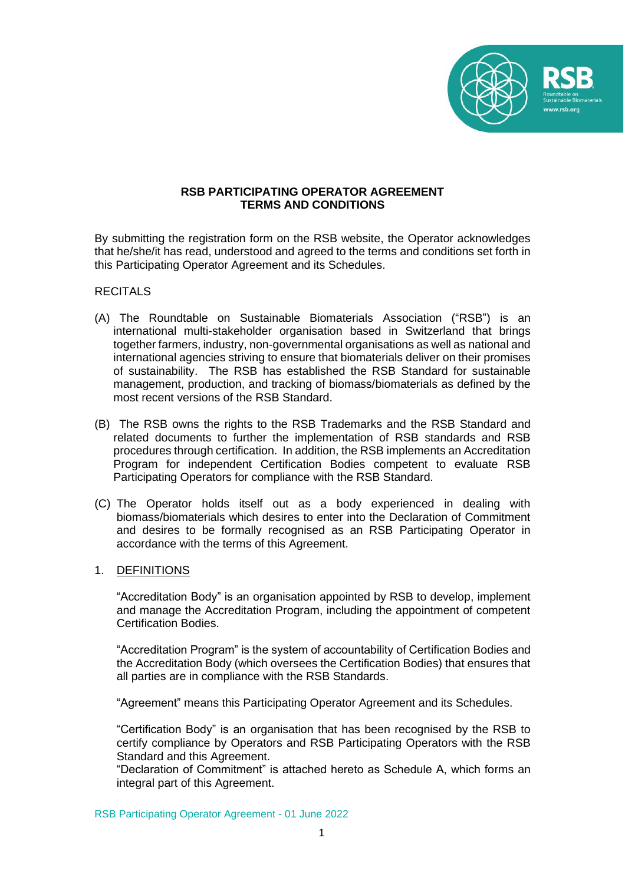

# **RSB PARTICIPATING OPERATOR AGREEMENT TERMS AND CONDITIONS**

By submitting the registration form on the RSB website, the Operator acknowledges that he/she/it has read, understood and agreed to the terms and conditions set forth in this Participating Operator Agreement and its Schedules.

#### **RECITALS**

- (A) The Roundtable on Sustainable Biomaterials Association ("RSB") is an international multi-stakeholder organisation based in Switzerland that brings together farmers, industry, non-governmental organisations as well as national and international agencies striving to ensure that biomaterials deliver on their promises of sustainability. The RSB has established the RSB Standard for sustainable management, production, and tracking of biomass/biomaterials as defined by the most recent versions of the RSB Standard.
- (B) The RSB owns the rights to the RSB Trademarks and the RSB Standard and related documents to further the implementation of RSB standards and RSB procedures through certification. In addition, the RSB implements an Accreditation Program for independent Certification Bodies competent to evaluate RSB Participating Operators for compliance with the RSB Standard.
- (C) The Operator holds itself out as a body experienced in dealing with biomass/biomaterials which desires to enter into the Declaration of Commitment and desires to be formally recognised as an RSB Participating Operator in accordance with the terms of this Agreement.

## 1. DEFINITIONS

"Accreditation Body" is an organisation appointed by RSB to develop, implement and manage the Accreditation Program, including the appointment of competent Certification Bodies.

"Accreditation Program" is the system of accountability of Certification Bodies and the Accreditation Body (which oversees the Certification Bodies) that ensures that all parties are in compliance with the RSB Standards.

"Agreement" means this Participating Operator Agreement and its Schedules.

"Certification Body" is an organisation that has been recognised by the RSB to certify compliance by Operators and RSB Participating Operators with the RSB Standard and this Agreement.

"Declaration of Commitment" is attached hereto as Schedule A, which forms an integral part of this Agreement.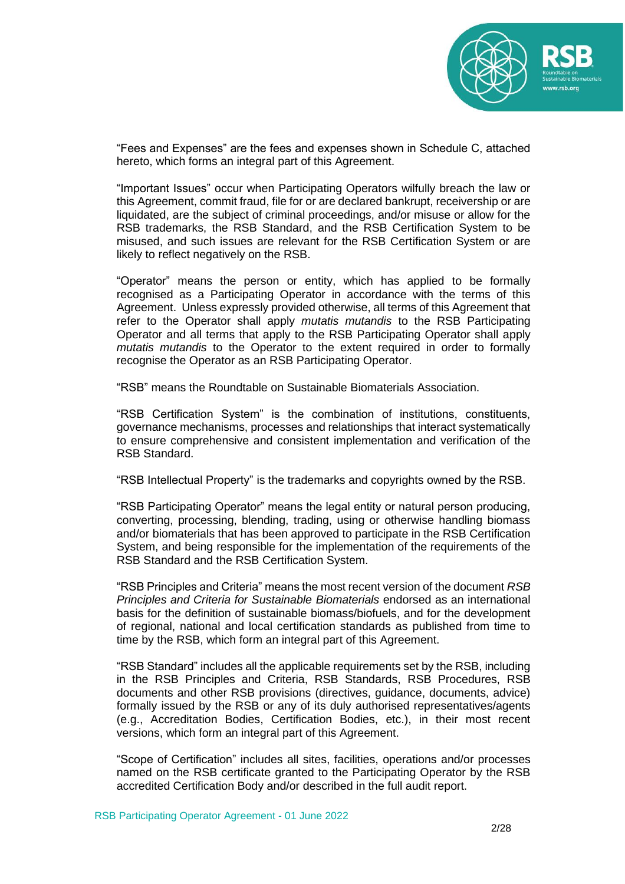

"Fees and Expenses" are the fees and expenses shown in Schedule C, attached hereto, which forms an integral part of this Agreement.

"Important Issues" occur when Participating Operators wilfully breach the law or this Agreement, commit fraud, file for or are declared bankrupt, receivership or are liquidated, are the subject of criminal proceedings, and/or misuse or allow for the RSB trademarks, the RSB Standard, and the RSB Certification System to be misused, and such issues are relevant for the RSB Certification System or are likely to reflect negatively on the RSB.

"Operator" means the person or entity, which has applied to be formally recognised as a Participating Operator in accordance with the terms of this Agreement. Unless expressly provided otherwise, all terms of this Agreement that refer to the Operator shall apply *mutatis mutandis* to the RSB Participating Operator and all terms that apply to the RSB Participating Operator shall apply *mutatis mutandis* to the Operator to the extent required in order to formally recognise the Operator as an RSB Participating Operator.

"RSB" means the Roundtable on Sustainable Biomaterials Association.

"RSB Certification System" is the combination of institutions, constituents, governance mechanisms, processes and relationships that interact systematically to ensure comprehensive and consistent implementation and verification of the RSB Standard.

"RSB Intellectual Property" is the trademarks and copyrights owned by the RSB.

"RSB Participating Operator" means the legal entity or natural person producing, converting, processing, blending, trading, using or otherwise handling biomass and/or biomaterials that has been approved to participate in the RSB Certification System, and being responsible for the implementation of the requirements of the RSB Standard and the RSB Certification System.

"RSB Principles and Criteria" means the most recent version of the document *RSB Principles and Criteria for Sustainable Biomaterials* endorsed as an international basis for the definition of sustainable biomass/biofuels, and for the development of regional, national and local certification standards as published from time to time by the RSB, which form an integral part of this Agreement.

"RSB Standard" includes all the applicable requirements set by the RSB, including in the RSB Principles and Criteria, RSB Standards, RSB Procedures, RSB documents and other RSB provisions (directives, guidance, documents, advice) formally issued by the RSB or any of its duly authorised representatives/agents (e.g., Accreditation Bodies, Certification Bodies, etc.), in their most recent versions, which form an integral part of this Agreement.

"Scope of Certification" includes all sites, facilities, operations and/or processes named on the RSB certificate granted to the Participating Operator by the RSB accredited Certification Body and/or described in the full audit report.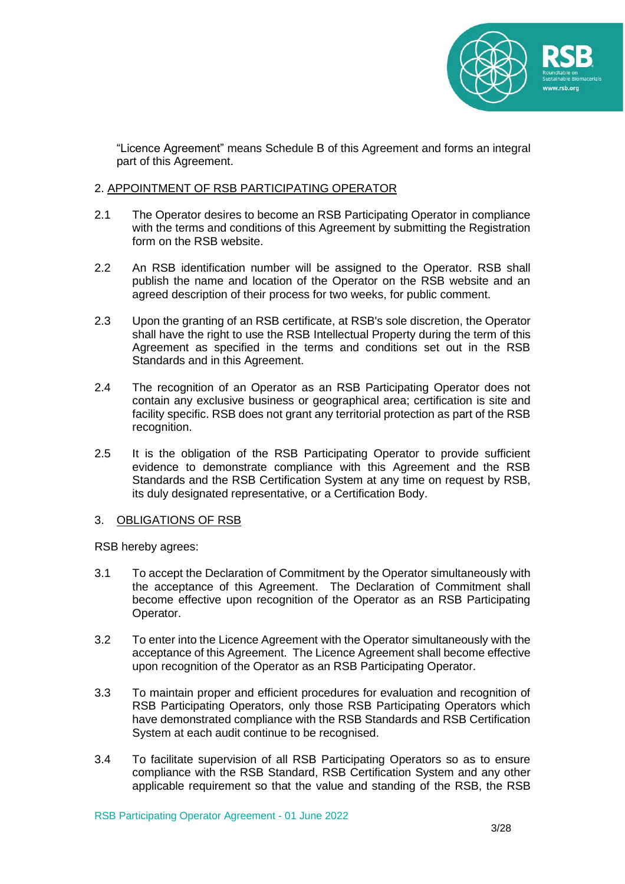

"Licence Agreement" means Schedule B of this Agreement and forms an integral part of this Agreement.

# 2. APPOINTMENT OF RSB PARTICIPATING OPERATOR

- 2.1 The Operator desires to become an RSB Participating Operator in compliance with the terms and conditions of this Agreement by submitting the Registration form on the RSB website.
- 2.2 An RSB identification number will be assigned to the Operator. RSB shall publish the name and location of the Operator on the RSB website and an agreed description of their process for two weeks, for public comment.
- 2.3 Upon the granting of an RSB certificate, at RSB's sole discretion, the Operator shall have the right to use the RSB Intellectual Property during the term of this Agreement as specified in the terms and conditions set out in the RSB Standards and in this Agreement.
- 2.4 The recognition of an Operator as an RSB Participating Operator does not contain any exclusive business or geographical area; certification is site and facility specific. RSB does not grant any territorial protection as part of the RSB recognition.
- 2.5 It is the obligation of the RSB Participating Operator to provide sufficient evidence to demonstrate compliance with this Agreement and the RSB Standards and the RSB Certification System at any time on request by RSB, its duly designated representative, or a Certification Body.

#### 3. OBLIGATIONS OF RSB

RSB hereby agrees:

- 3.1 To accept the Declaration of Commitment by the Operator simultaneously with the acceptance of this Agreement. The Declaration of Commitment shall become effective upon recognition of the Operator as an RSB Participating Operator.
- 3.2 To enter into the Licence Agreement with the Operator simultaneously with the acceptance of this Agreement. The Licence Agreement shall become effective upon recognition of the Operator as an RSB Participating Operator.
- 3.3 To maintain proper and efficient procedures for evaluation and recognition of RSB Participating Operators, only those RSB Participating Operators which have demonstrated compliance with the RSB Standards and RSB Certification System at each audit continue to be recognised.
- 3.4 To facilitate supervision of all RSB Participating Operators so as to ensure compliance with the RSB Standard, RSB Certification System and any other applicable requirement so that the value and standing of the RSB, the RSB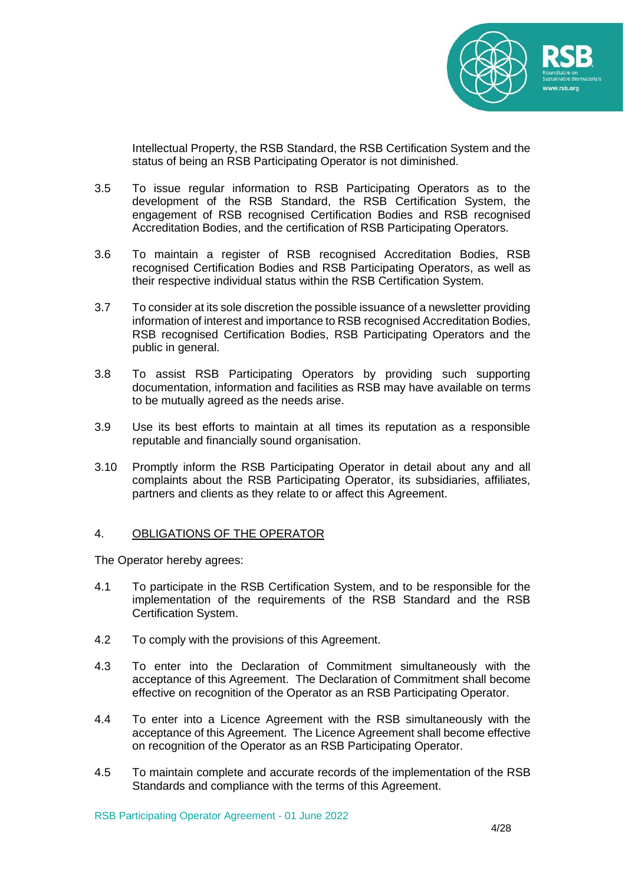

Intellectual Property, the RSB Standard, the RSB Certification System and the status of being an RSB Participating Operator is not diminished.

- 3.5 To issue regular information to RSB Participating Operators as to the development of the RSB Standard, the RSB Certification System, the engagement of RSB recognised Certification Bodies and RSB recognised Accreditation Bodies, and the certification of RSB Participating Operators.
- 3.6 To maintain a register of RSB recognised Accreditation Bodies, RSB recognised Certification Bodies and RSB Participating Operators, as well as their respective individual status within the RSB Certification System.
- 3.7 To consider at its sole discretion the possible issuance of a newsletter providing information of interest and importance to RSB recognised Accreditation Bodies, RSB recognised Certification Bodies, RSB Participating Operators and the public in general.
- 3.8 To assist RSB Participating Operators by providing such supporting documentation, information and facilities as RSB may have available on terms to be mutually agreed as the needs arise.
- 3.9 Use its best efforts to maintain at all times its reputation as a responsible reputable and financially sound organisation.
- 3.10 Promptly inform the RSB Participating Operator in detail about any and all complaints about the RSB Participating Operator, its subsidiaries, affiliates, partners and clients as they relate to or affect this Agreement.

#### 4. OBLIGATIONS OF THE OPERATOR

The Operator hereby agrees:

- 4.1 To participate in the RSB Certification System, and to be responsible for the implementation of the requirements of the RSB Standard and the RSB Certification System.
- 4.2 To comply with the provisions of this Agreement.
- 4.3 To enter into the Declaration of Commitment simultaneously with the acceptance of this Agreement. The Declaration of Commitment shall become effective on recognition of the Operator as an RSB Participating Operator.
- 4.4 To enter into a Licence Agreement with the RSB simultaneously with the acceptance of this Agreement. The Licence Agreement shall become effective on recognition of the Operator as an RSB Participating Operator.
- 4.5 To maintain complete and accurate records of the implementation of the RSB Standards and compliance with the terms of this Agreement.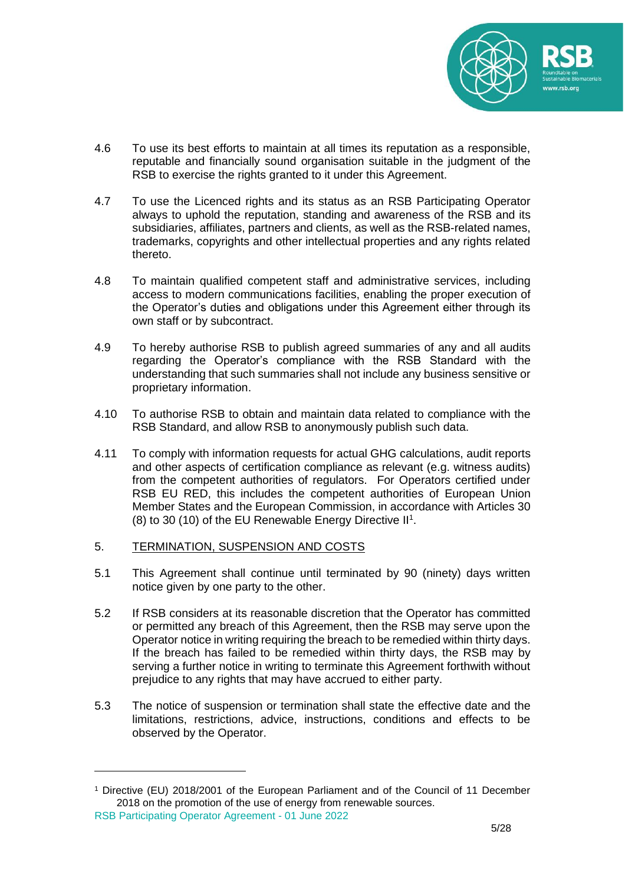

- 4.6 To use its best efforts to maintain at all times its reputation as a responsible, reputable and financially sound organisation suitable in the judgment of the RSB to exercise the rights granted to it under this Agreement.
- 4.7 To use the Licenced rights and its status as an RSB Participating Operator always to uphold the reputation, standing and awareness of the RSB and its subsidiaries, affiliates, partners and clients, as well as the RSB-related names, trademarks, copyrights and other intellectual properties and any rights related thereto.
- 4.8 To maintain qualified competent staff and administrative services, including access to modern communications facilities, enabling the proper execution of the Operator's duties and obligations under this Agreement either through its own staff or by subcontract.
- 4.9 To hereby authorise RSB to publish agreed summaries of any and all audits regarding the Operator's compliance with the RSB Standard with the understanding that such summaries shall not include any business sensitive or proprietary information.
- 4.10 To authorise RSB to obtain and maintain data related to compliance with the RSB Standard, and allow RSB to anonymously publish such data.
- 4.11 To comply with information requests for actual GHG calculations, audit reports and other aspects of certification compliance as relevant (e.g. witness audits) from the competent authorities of regulators. For Operators certified under RSB EU RED, this includes the competent authorities of European Union Member States and the European Commission, in accordance with Articles 30 (8) to 30 (10) of the EU Renewable Energy Directive II<sup>1</sup>.

# 5. TERMINATION, SUSPENSION AND COSTS

- 5.1 This Agreement shall continue until terminated by 90 (ninety) days written notice given by one party to the other.
- 5.2 If RSB considers at its reasonable discretion that the Operator has committed or permitted any breach of this Agreement, then the RSB may serve upon the Operator notice in writing requiring the breach to be remedied within thirty days. If the breach has failed to be remedied within thirty days, the RSB may by serving a further notice in writing to terminate this Agreement forthwith without prejudice to any rights that may have accrued to either party.
- 5.3 The notice of suspension or termination shall state the effective date and the limitations, restrictions, advice, instructions, conditions and effects to be observed by the Operator.

<sup>1</sup> Directive (EU) 2018/2001 of the European Parliament and of the Council of 11 December 2018 on the promotion of the use of energy from renewable sources.

RSB Participating Operator Agreement - 01 June 2022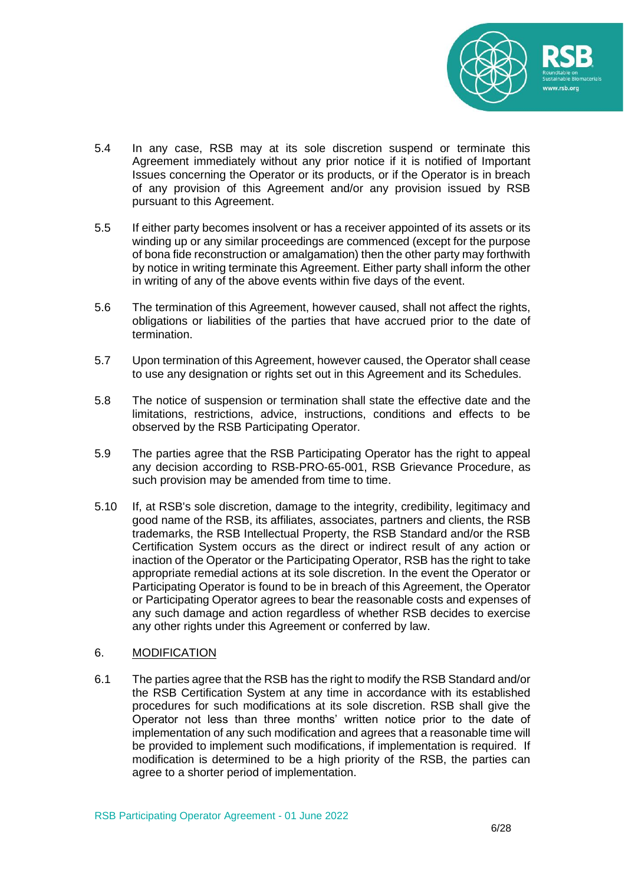

- 5.4 In any case, RSB may at its sole discretion suspend or terminate this Agreement immediately without any prior notice if it is notified of Important Issues concerning the Operator or its products, or if the Operator is in breach of any provision of this Agreement and/or any provision issued by RSB pursuant to this Agreement.
- 5.5 If either party becomes insolvent or has a receiver appointed of its assets or its winding up or any similar proceedings are commenced (except for the purpose of bona fide reconstruction or amalgamation) then the other party may forthwith by notice in writing terminate this Agreement. Either party shall inform the other in writing of any of the above events within five days of the event.
- 5.6 The termination of this Agreement, however caused, shall not affect the rights, obligations or liabilities of the parties that have accrued prior to the date of termination.
- 5.7 Upon termination of this Agreement, however caused, the Operator shall cease to use any designation or rights set out in this Agreement and its Schedules.
- 5.8 The notice of suspension or termination shall state the effective date and the limitations, restrictions, advice, instructions, conditions and effects to be observed by the RSB Participating Operator.
- 5.9 The parties agree that the RSB Participating Operator has the right to appeal any decision according to RSB-PRO-65-001, RSB Grievance Procedure, as such provision may be amended from time to time.
- 5.10 If, at RSB's sole discretion, damage to the integrity, credibility, legitimacy and good name of the RSB, its affiliates, associates, partners and clients, the RSB trademarks, the RSB Intellectual Property, the RSB Standard and/or the RSB Certification System occurs as the direct or indirect result of any action or inaction of the Operator or the Participating Operator, RSB has the right to take appropriate remedial actions at its sole discretion. In the event the Operator or Participating Operator is found to be in breach of this Agreement, the Operator or Participating Operator agrees to bear the reasonable costs and expenses of any such damage and action regardless of whether RSB decides to exercise any other rights under this Agreement or conferred by law.

#### 6. MODIFICATION

6.1 The parties agree that the RSB has the right to modify the RSB Standard and/or the RSB Certification System at any time in accordance with its established procedures for such modifications at its sole discretion. RSB shall give the Operator not less than three months' written notice prior to the date of implementation of any such modification and agrees that a reasonable time will be provided to implement such modifications, if implementation is required. If modification is determined to be a high priority of the RSB, the parties can agree to a shorter period of implementation.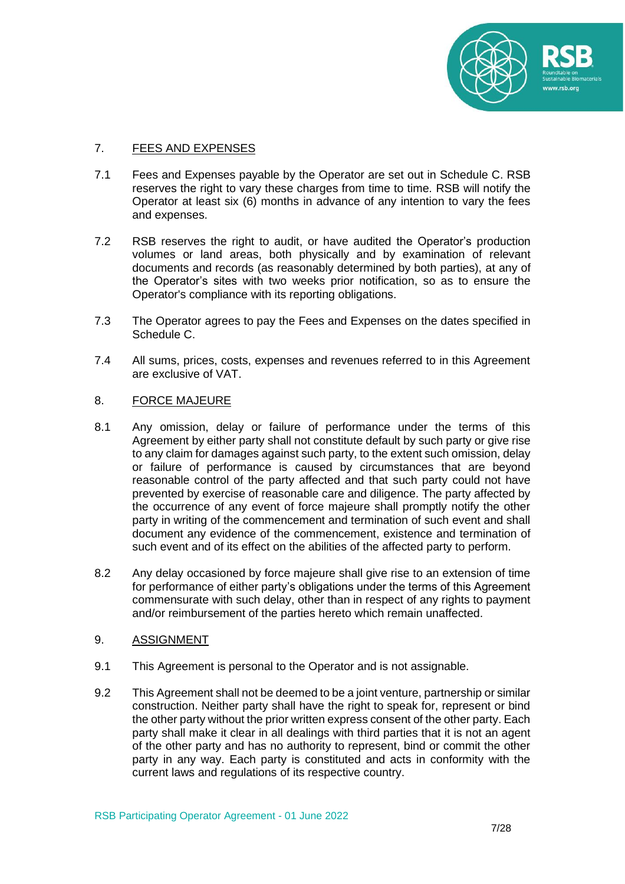

## 7. FEES AND EXPENSES

- 7.1 Fees and Expenses payable by the Operator are set out in Schedule C. RSB reserves the right to vary these charges from time to time. RSB will notify the Operator at least six (6) months in advance of any intention to vary the fees and expenses.
- 7.2 RSB reserves the right to audit, or have audited the Operator's production volumes or land areas, both physically and by examination of relevant documents and records (as reasonably determined by both parties), at any of the Operator's sites with two weeks prior notification, so as to ensure the Operator's compliance with its reporting obligations.
- 7.3 The Operator agrees to pay the Fees and Expenses on the dates specified in Schedule C.
- 7.4 All sums, prices, costs, expenses and revenues referred to in this Agreement are exclusive of VAT.

#### 8. FORCE MAJEURE

- 8.1 Any omission, delay or failure of performance under the terms of this Agreement by either party shall not constitute default by such party or give rise to any claim for damages against such party, to the extent such omission, delay or failure of performance is caused by circumstances that are beyond reasonable control of the party affected and that such party could not have prevented by exercise of reasonable care and diligence. The party affected by the occurrence of any event of force majeure shall promptly notify the other party in writing of the commencement and termination of such event and shall document any evidence of the commencement, existence and termination of such event and of its effect on the abilities of the affected party to perform.
- 8.2 Any delay occasioned by force majeure shall give rise to an extension of time for performance of either party's obligations under the terms of this Agreement commensurate with such delay, other than in respect of any rights to payment and/or reimbursement of the parties hereto which remain unaffected.

#### 9. ASSIGNMENT

- 9.1 This Agreement is personal to the Operator and is not assignable.
- 9.2 This Agreement shall not be deemed to be a joint venture, partnership or similar construction. Neither party shall have the right to speak for, represent or bind the other party without the prior written express consent of the other party. Each party shall make it clear in all dealings with third parties that it is not an agent of the other party and has no authority to represent, bind or commit the other party in any way. Each party is constituted and acts in conformity with the current laws and regulations of its respective country.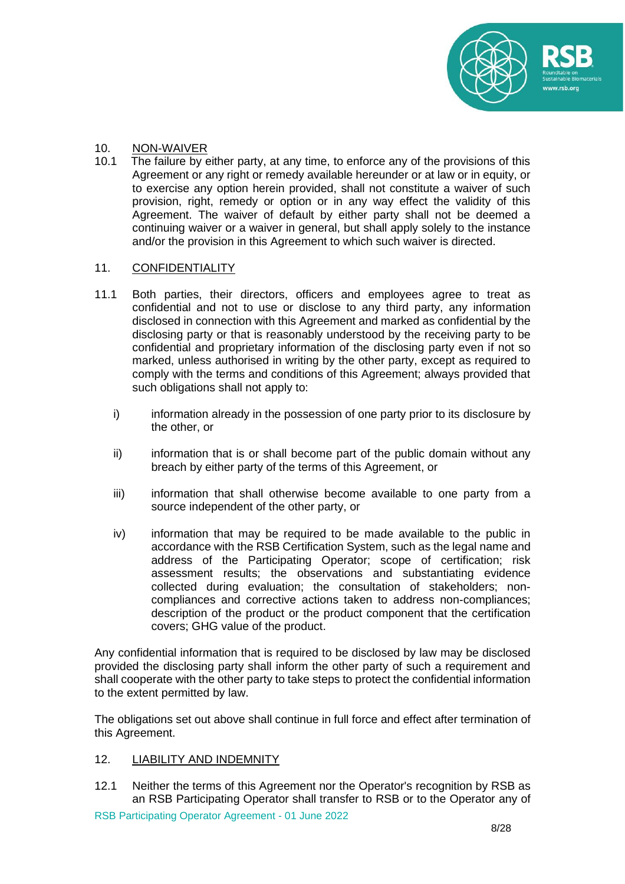

# 10. NON-WAIVER<br>10.1 The failure by e

The failure by either party, at any time, to enforce any of the provisions of this Agreement or any right or remedy available hereunder or at law or in equity, or to exercise any option herein provided, shall not constitute a waiver of such provision, right, remedy or option or in any way effect the validity of this Agreement. The waiver of default by either party shall not be deemed a continuing waiver or a waiver in general, but shall apply solely to the instance and/or the provision in this Agreement to which such waiver is directed.

# 11. CONFIDENTIALITY

- 11.1 Both parties, their directors, officers and employees agree to treat as confidential and not to use or disclose to any third party, any information disclosed in connection with this Agreement and marked as confidential by the disclosing party or that is reasonably understood by the receiving party to be confidential and proprietary information of the disclosing party even if not so marked, unless authorised in writing by the other party, except as required to comply with the terms and conditions of this Agreement; always provided that such obligations shall not apply to:
	- i) information already in the possession of one party prior to its disclosure by the other, or
	- ii) information that is or shall become part of the public domain without any breach by either party of the terms of this Agreement, or
	- iii) information that shall otherwise become available to one party from a source independent of the other party, or
	- iv) information that may be required to be made available to the public in accordance with the RSB Certification System, such as the legal name and address of the Participating Operator; scope of certification; risk assessment results; the observations and substantiating evidence collected during evaluation; the consultation of stakeholders; noncompliances and corrective actions taken to address non-compliances; description of the product or the product component that the certification covers; GHG value of the product.

Any confidential information that is required to be disclosed by law may be disclosed provided the disclosing party shall inform the other party of such a requirement and shall cooperate with the other party to take steps to protect the confidential information to the extent permitted by law.

The obligations set out above shall continue in full force and effect after termination of this Agreement.

# 12. LIABILITY AND INDEMNITY

12.1 Neither the terms of this Agreement nor the Operator's recognition by RSB as an RSB Participating Operator shall transfer to RSB or to the Operator any of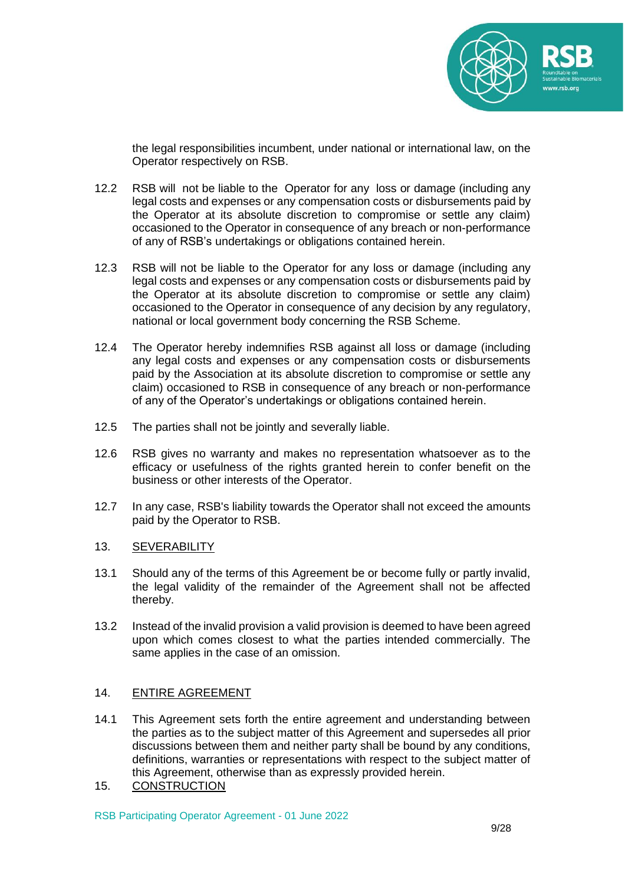

the legal responsibilities incumbent, under national or international law, on the Operator respectively on RSB.

- 12.2 RSB will not be liable to the Operator for any loss or damage (including any legal costs and expenses or any compensation costs or disbursements paid by the Operator at its absolute discretion to compromise or settle any claim) occasioned to the Operator in consequence of any breach or non-performance of any of RSB's undertakings or obligations contained herein.
- 12.3 RSB will not be liable to the Operator for any loss or damage (including any legal costs and expenses or any compensation costs or disbursements paid by the Operator at its absolute discretion to compromise or settle any claim) occasioned to the Operator in consequence of any decision by any regulatory, national or local government body concerning the RSB Scheme.
- 12.4 The Operator hereby indemnifies RSB against all loss or damage (including any legal costs and expenses or any compensation costs or disbursements paid by the Association at its absolute discretion to compromise or settle any claim) occasioned to RSB in consequence of any breach or non-performance of any of the Operator's undertakings or obligations contained herein.
- 12.5 The parties shall not be jointly and severally liable.
- 12.6 RSB gives no warranty and makes no representation whatsoever as to the efficacy or usefulness of the rights granted herein to confer benefit on the business or other interests of the Operator.
- 12.7 In any case, RSB's liability towards the Operator shall not exceed the amounts paid by the Operator to RSB.

#### 13. SEVERABILITY

- 13.1 Should any of the terms of this Agreement be or become fully or partly invalid, the legal validity of the remainder of the Agreement shall not be affected thereby.
- 13.2 Instead of the invalid provision a valid provision is deemed to have been agreed upon which comes closest to what the parties intended commercially. The same applies in the case of an omission.

# 14. ENTIRE AGREEMENT

- 14.1 This Agreement sets forth the entire agreement and understanding between the parties as to the subject matter of this Agreement and supersedes all prior discussions between them and neither party shall be bound by any conditions, definitions, warranties or representations with respect to the subject matter of this Agreement, otherwise than as expressly provided herein.
- 15. CONSTRUCTION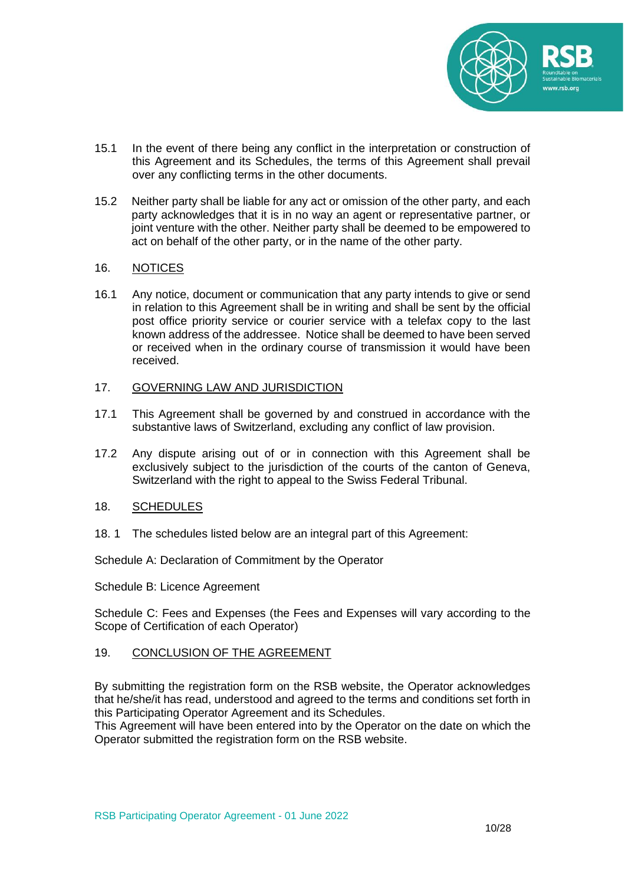

- 15.1 In the event of there being any conflict in the interpretation or construction of this Agreement and its Schedules, the terms of this Agreement shall prevail over any conflicting terms in the other documents.
- 15.2 Neither party shall be liable for any act or omission of the other party, and each party acknowledges that it is in no way an agent or representative partner, or joint venture with the other. Neither party shall be deemed to be empowered to act on behalf of the other party, or in the name of the other party.

#### 16. NOTICES

16.1 Any notice, document or communication that any party intends to give or send in relation to this Agreement shall be in writing and shall be sent by the official post office priority service or courier service with a telefax copy to the last known address of the addressee. Notice shall be deemed to have been served or received when in the ordinary course of transmission it would have been received.

#### 17. GOVERNING LAW AND JURISDICTION

- 17.1 This Agreement shall be governed by and construed in accordance with the substantive laws of Switzerland, excluding any conflict of law provision.
- 17.2 Any dispute arising out of or in connection with this Agreement shall be exclusively subject to the jurisdiction of the courts of the canton of Geneva, Switzerland with the right to appeal to the Swiss Federal Tribunal.

# 18. SCHEDULES

18. 1 The schedules listed below are an integral part of this Agreement:

Schedule A: Declaration of Commitment by the Operator

Schedule B: Licence Agreement

Schedule C: Fees and Expenses (the Fees and Expenses will vary according to the Scope of Certification of each Operator)

# 19. CONCLUSION OF THE AGREEMENT

By submitting the registration form on the RSB website, the Operator acknowledges that he/she/it has read, understood and agreed to the terms and conditions set forth in this Participating Operator Agreement and its Schedules.

This Agreement will have been entered into by the Operator on the date on which the Operator submitted the registration form on the RSB website.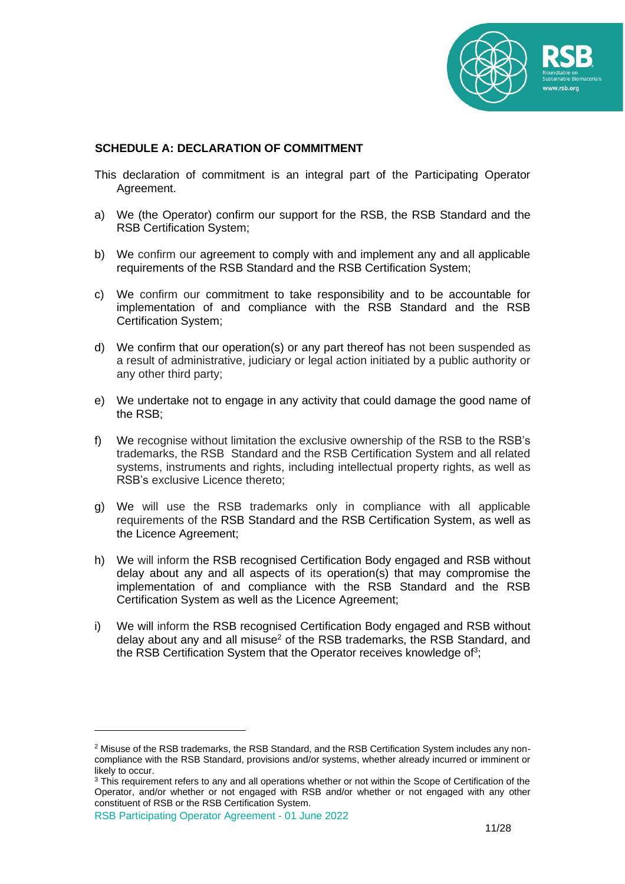

# **SCHEDULE A: DECLARATION OF COMMITMENT**

- This declaration of commitment is an integral part of the Participating Operator Agreement.
- a) We (the Operator) confirm our support for the RSB, the RSB Standard and the RSB Certification System;
- b) We confirm our agreement to comply with and implement any and all applicable requirements of the RSB Standard and the RSB Certification System;
- c) We confirm our commitment to take responsibility and to be accountable for implementation of and compliance with the RSB Standard and the RSB Certification System;
- d) We confirm that our operation(s) or any part thereof has not been suspended as a result of administrative, judiciary or legal action initiated by a public authority or any other third party;
- e) We undertake not to engage in any activity that could damage the good name of the RSB;
- f) We recognise without limitation the exclusive ownership of the RSB to the RSB's trademarks, the RSB Standard and the RSB Certification System and all related systems, instruments and rights, including intellectual property rights, as well as RSB's exclusive Licence thereto;
- g) We will use the RSB trademarks only in compliance with all applicable requirements of the RSB Standard and the RSB Certification System, as well as the Licence Agreement;
- h) We will inform the RSB recognised Certification Body engaged and RSB without delay about any and all aspects of its operation(s) that may compromise the implementation of and compliance with the RSB Standard and the RSB Certification System as well as the Licence Agreement;
- i) We will inform the RSB recognised Certification Body engaged and RSB without delay about any and all misuse<sup>2</sup> of the RSB trademarks, the RSB Standard, and the RSB Certification System that the Operator receives knowledge of<sup>3</sup>;

<sup>2</sup> Misuse of the RSB trademarks, the RSB Standard, and the RSB Certification System includes any noncompliance with the RSB Standard, provisions and/or systems, whether already incurred or imminent or likely to occur.

<sup>&</sup>lt;sup>3</sup> This requirement refers to any and all operations whether or not within the Scope of Certification of the Operator, and/or whether or not engaged with RSB and/or whether or not engaged with any other constituent of RSB or the RSB Certification System.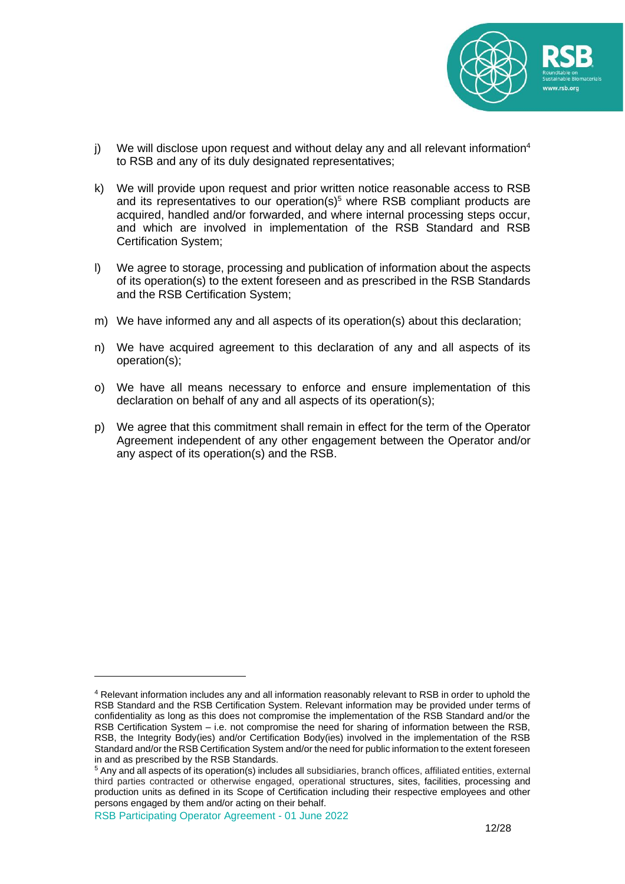

- j) We will disclose upon request and without delay any and all relevant information<sup>4</sup> to RSB and any of its duly designated representatives;
- k) We will provide upon request and prior written notice reasonable access to RSB and its representatives to our operation( $s$ )<sup>5</sup> where RSB compliant products are acquired, handled and/or forwarded, and where internal processing steps occur, and which are involved in implementation of the RSB Standard and RSB Certification System;
- l) We agree to storage, processing and publication of information about the aspects of its operation(s) to the extent foreseen and as prescribed in the RSB Standards and the RSB Certification System;
- m) We have informed any and all aspects of its operation(s) about this declaration;
- n) We have acquired agreement to this declaration of any and all aspects of its operation(s);
- o) We have all means necessary to enforce and ensure implementation of this declaration on behalf of any and all aspects of its operation(s);
- p) We agree that this commitment shall remain in effect for the term of the Operator Agreement independent of any other engagement between the Operator and/or any aspect of its operation(s) and the RSB.

<sup>4</sup> Relevant information includes any and all information reasonably relevant to RSB in order to uphold the RSB Standard and the RSB Certification System. Relevant information may be provided under terms of confidentiality as long as this does not compromise the implementation of the RSB Standard and/or the RSB Certification System – i.e. not compromise the need for sharing of information between the RSB, RSB, the Integrity Body(ies) and/or Certification Body(ies) involved in the implementation of the RSB Standard and/or the RSB Certification System and/or the need for public information to the extent foreseen in and as prescribed by the RSB Standards.

<sup>5</sup> Any and all aspects of its operation(s) includes all subsidiaries, branch offices, affiliated entities, external third parties contracted or otherwise engaged, operational structures, sites, facilities, processing and production units as defined in its Scope of Certification including their respective employees and other persons engaged by them and/or acting on their behalf.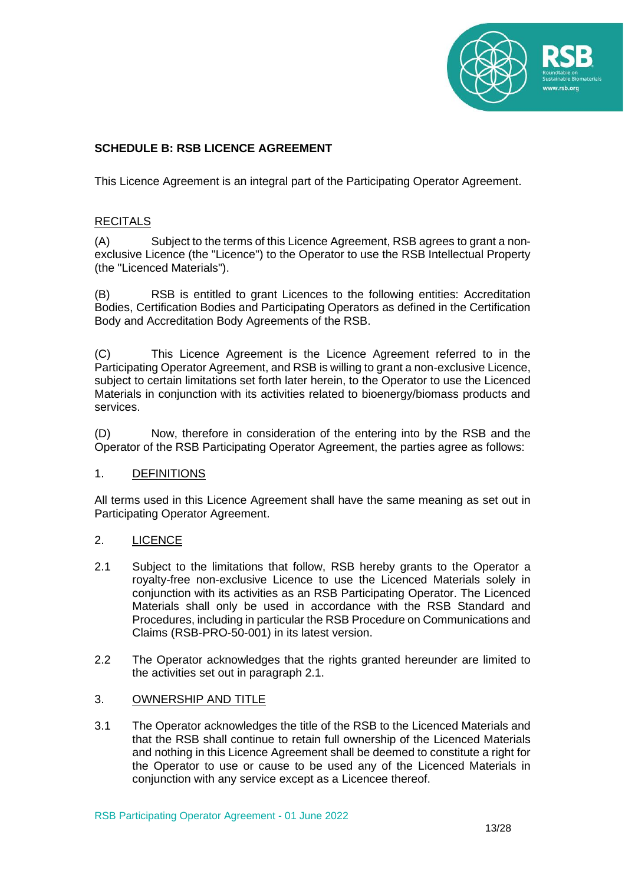

# **SCHEDULE B: RSB LICENCE AGREEMENT**

This Licence Agreement is an integral part of the Participating Operator Agreement.

# **RECITALS**

(A) Subject to the terms of this Licence Agreement, RSB agrees to grant a nonexclusive Licence (the "Licence") to the Operator to use the RSB Intellectual Property (the "Licenced Materials").

(B) RSB is entitled to grant Licences to the following entities: Accreditation Bodies, Certification Bodies and Participating Operators as defined in the Certification Body and Accreditation Body Agreements of the RSB.

(C) This Licence Agreement is the Licence Agreement referred to in the Participating Operator Agreement, and RSB is willing to grant a non-exclusive Licence, subject to certain limitations set forth later herein, to the Operator to use the Licenced Materials in conjunction with its activities related to bioenergy/biomass products and services.

(D) Now, therefore in consideration of the entering into by the RSB and the Operator of the RSB Participating Operator Agreement, the parties agree as follows:

# 1. DEFINITIONS

All terms used in this Licence Agreement shall have the same meaning as set out in Participating Operator Agreement.

# 2. LICENCE

- 2.1 Subject to the limitations that follow, RSB hereby grants to the Operator a royalty-free non-exclusive Licence to use the Licenced Materials solely in conjunction with its activities as an RSB Participating Operator. The Licenced Materials shall only be used in accordance with the RSB Standard and Procedures, including in particular the RSB Procedure on Communications and Claims (RSB-PRO-50-001) in its latest version.
- 2.2 The Operator acknowledges that the rights granted hereunder are limited to the activities set out in paragraph 2.1.

# 3. OWNERSHIP AND TITLE

3.1 The Operator acknowledges the title of the RSB to the Licenced Materials and that the RSB shall continue to retain full ownership of the Licenced Materials and nothing in this Licence Agreement shall be deemed to constitute a right for the Operator to use or cause to be used any of the Licenced Materials in conjunction with any service except as a Licencee thereof.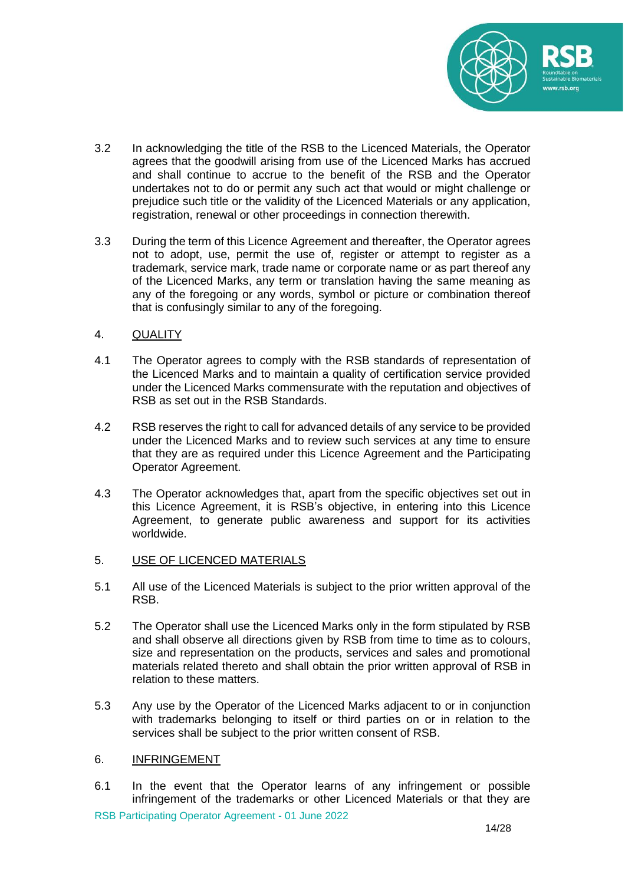

- 3.2 In acknowledging the title of the RSB to the Licenced Materials, the Operator agrees that the goodwill arising from use of the Licenced Marks has accrued and shall continue to accrue to the benefit of the RSB and the Operator undertakes not to do or permit any such act that would or might challenge or prejudice such title or the validity of the Licenced Materials or any application, registration, renewal or other proceedings in connection therewith.
- 3.3 During the term of this Licence Agreement and thereafter, the Operator agrees not to adopt, use, permit the use of, register or attempt to register as a trademark, service mark, trade name or corporate name or as part thereof any of the Licenced Marks, any term or translation having the same meaning as any of the foregoing or any words, symbol or picture or combination thereof that is confusingly similar to any of the foregoing.
- 4. QUALITY
- 4.1 The Operator agrees to comply with the RSB standards of representation of the Licenced Marks and to maintain a quality of certification service provided under the Licenced Marks commensurate with the reputation and objectives of RSB as set out in the RSB Standards.
- 4.2 RSB reserves the right to call for advanced details of any service to be provided under the Licenced Marks and to review such services at any time to ensure that they are as required under this Licence Agreement and the Participating Operator Agreement.
- 4.3 The Operator acknowledges that, apart from the specific objectives set out in this Licence Agreement, it is RSB's objective, in entering into this Licence Agreement, to generate public awareness and support for its activities worldwide.
- 5. USE OF LICENCED MATERIALS
- 5.1 All use of the Licenced Materials is subject to the prior written approval of the RSB.
- 5.2 The Operator shall use the Licenced Marks only in the form stipulated by RSB and shall observe all directions given by RSB from time to time as to colours, size and representation on the products, services and sales and promotional materials related thereto and shall obtain the prior written approval of RSB in relation to these matters.
- 5.3 Any use by the Operator of the Licenced Marks adjacent to or in conjunction with trademarks belonging to itself or third parties on or in relation to the services shall be subject to the prior written consent of RSB.

#### 6. INFRINGEMENT

RSB Participating Operator Agreement - 01 June 2022 6.1 In the event that the Operator learns of any infringement or possible infringement of the trademarks or other Licenced Materials or that they are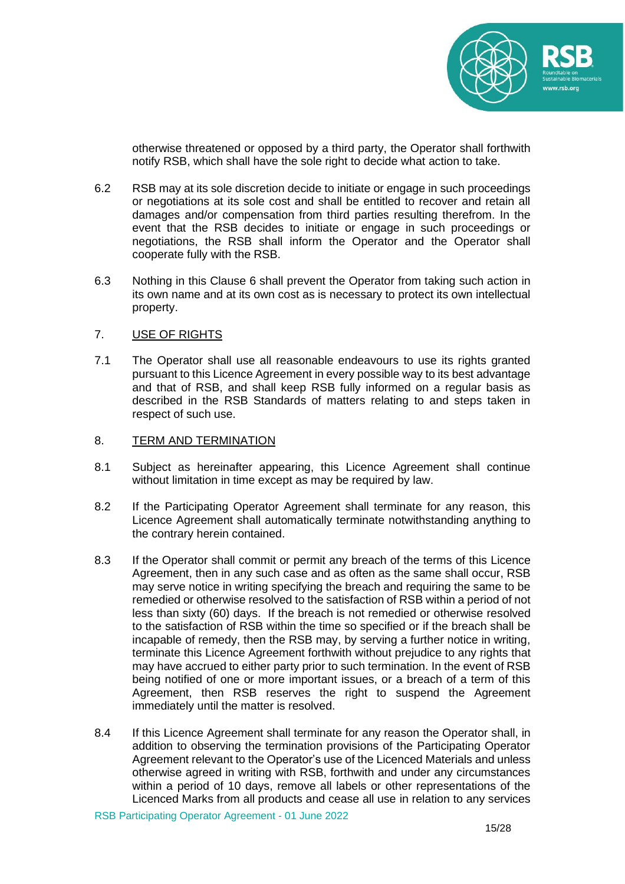

otherwise threatened or opposed by a third party, the Operator shall forthwith notify RSB, which shall have the sole right to decide what action to take.

- 6.2 RSB may at its sole discretion decide to initiate or engage in such proceedings or negotiations at its sole cost and shall be entitled to recover and retain all damages and/or compensation from third parties resulting therefrom. In the event that the RSB decides to initiate or engage in such proceedings or negotiations, the RSB shall inform the Operator and the Operator shall cooperate fully with the RSB.
- 6.3 Nothing in this Clause 6 shall prevent the Operator from taking such action in its own name and at its own cost as is necessary to protect its own intellectual property.

#### 7. USE OF RIGHTS

7.1 The Operator shall use all reasonable endeavours to use its rights granted pursuant to this Licence Agreement in every possible way to its best advantage and that of RSB, and shall keep RSB fully informed on a regular basis as described in the RSB Standards of matters relating to and steps taken in respect of such use.

#### 8. TERM AND TERMINATION

- 8.1 Subject as hereinafter appearing, this Licence Agreement shall continue without limitation in time except as may be required by law.
- 8.2 If the Participating Operator Agreement shall terminate for any reason, this Licence Agreement shall automatically terminate notwithstanding anything to the contrary herein contained.
- 8.3 If the Operator shall commit or permit any breach of the terms of this Licence Agreement, then in any such case and as often as the same shall occur, RSB may serve notice in writing specifying the breach and requiring the same to be remedied or otherwise resolved to the satisfaction of RSB within a period of not less than sixty (60) days. If the breach is not remedied or otherwise resolved to the satisfaction of RSB within the time so specified or if the breach shall be incapable of remedy, then the RSB may, by serving a further notice in writing, terminate this Licence Agreement forthwith without prejudice to any rights that may have accrued to either party prior to such termination. In the event of RSB being notified of one or more important issues, or a breach of a term of this Agreement, then RSB reserves the right to suspend the Agreement immediately until the matter is resolved.
- 8.4 If this Licence Agreement shall terminate for any reason the Operator shall, in addition to observing the termination provisions of the Participating Operator Agreement relevant to the Operator's use of the Licenced Materials and unless otherwise agreed in writing with RSB, forthwith and under any circumstances within a period of 10 days, remove all labels or other representations of the Licenced Marks from all products and cease all use in relation to any services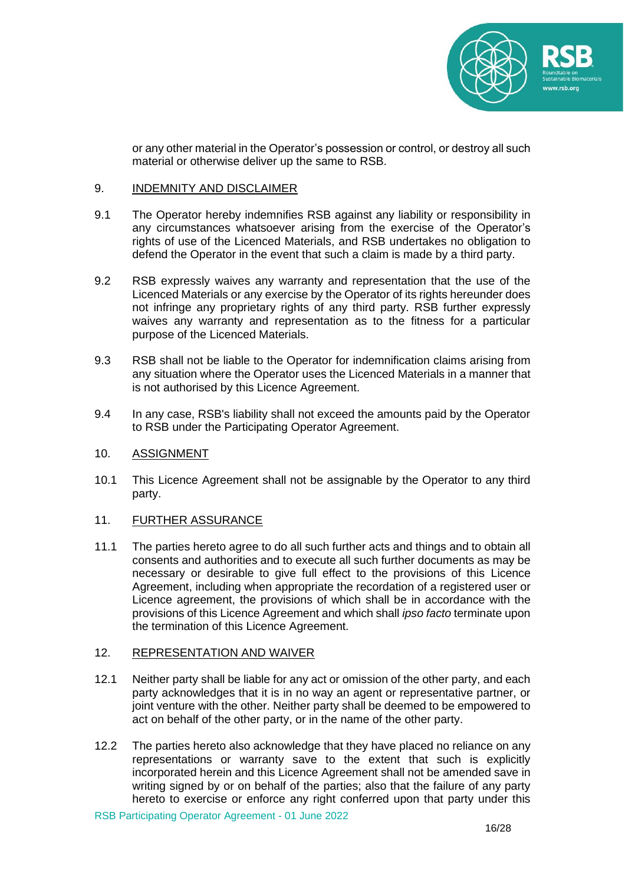

or any other material in the Operator's possession or control, or destroy all such material or otherwise deliver up the same to RSB.

## 9. INDEMNITY AND DISCLAIMER

- 9.1 The Operator hereby indemnifies RSB against any liability or responsibility in any circumstances whatsoever arising from the exercise of the Operator's rights of use of the Licenced Materials, and RSB undertakes no obligation to defend the Operator in the event that such a claim is made by a third party.
- 9.2 RSB expressly waives any warranty and representation that the use of the Licenced Materials or any exercise by the Operator of its rights hereunder does not infringe any proprietary rights of any third party. RSB further expressly waives any warranty and representation as to the fitness for a particular purpose of the Licenced Materials.
- 9.3 RSB shall not be liable to the Operator for indemnification claims arising from any situation where the Operator uses the Licenced Materials in a manner that is not authorised by this Licence Agreement.
- 9.4 In any case, RSB's liability shall not exceed the amounts paid by the Operator to RSB under the Participating Operator Agreement.

#### 10. ASSIGNMENT

10.1 This Licence Agreement shall not be assignable by the Operator to any third party.

#### 11. FURTHER ASSURANCE

11.1 The parties hereto agree to do all such further acts and things and to obtain all consents and authorities and to execute all such further documents as may be necessary or desirable to give full effect to the provisions of this Licence Agreement, including when appropriate the recordation of a registered user or Licence agreement, the provisions of which shall be in accordance with the provisions of this Licence Agreement and which shall *ipso facto* terminate upon the termination of this Licence Agreement.

#### 12. REPRESENTATION AND WAIVER

- 12.1 Neither party shall be liable for any act or omission of the other party, and each party acknowledges that it is in no way an agent or representative partner, or joint venture with the other. Neither party shall be deemed to be empowered to act on behalf of the other party, or in the name of the other party.
- 12.2 The parties hereto also acknowledge that they have placed no reliance on any representations or warranty save to the extent that such is explicitly incorporated herein and this Licence Agreement shall not be amended save in writing signed by or on behalf of the parties; also that the failure of any party hereto to exercise or enforce any right conferred upon that party under this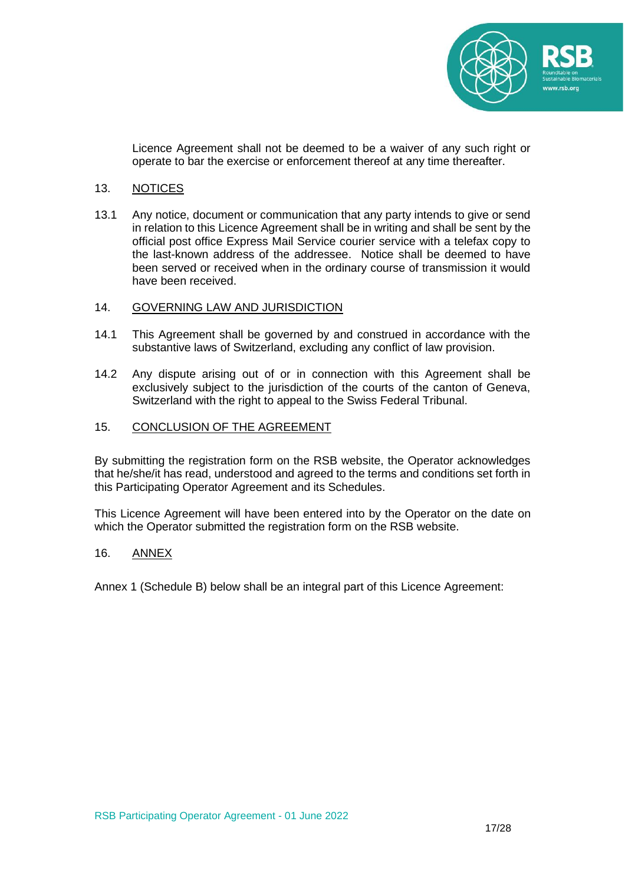

Licence Agreement shall not be deemed to be a waiver of any such right or operate to bar the exercise or enforcement thereof at any time thereafter.

## 13. NOTICES

13.1 Any notice, document or communication that any party intends to give or send in relation to this Licence Agreement shall be in writing and shall be sent by the official post office Express Mail Service courier service with a telefax copy to the last-known address of the addressee. Notice shall be deemed to have been served or received when in the ordinary course of transmission it would have been received.

#### 14. GOVERNING LAW AND JURISDICTION

- 14.1 This Agreement shall be governed by and construed in accordance with the substantive laws of Switzerland, excluding any conflict of law provision.
- 14.2 Any dispute arising out of or in connection with this Agreement shall be exclusively subject to the jurisdiction of the courts of the canton of Geneva, Switzerland with the right to appeal to the Swiss Federal Tribunal.

#### 15. CONCLUSION OF THE AGREEMENT

By submitting the registration form on the RSB website, the Operator acknowledges that he/she/it has read, understood and agreed to the terms and conditions set forth in this Participating Operator Agreement and its Schedules.

This Licence Agreement will have been entered into by the Operator on the date on which the Operator submitted the registration form on the RSB website.

#### 16. ANNEX

Annex 1 (Schedule B) below shall be an integral part of this Licence Agreement: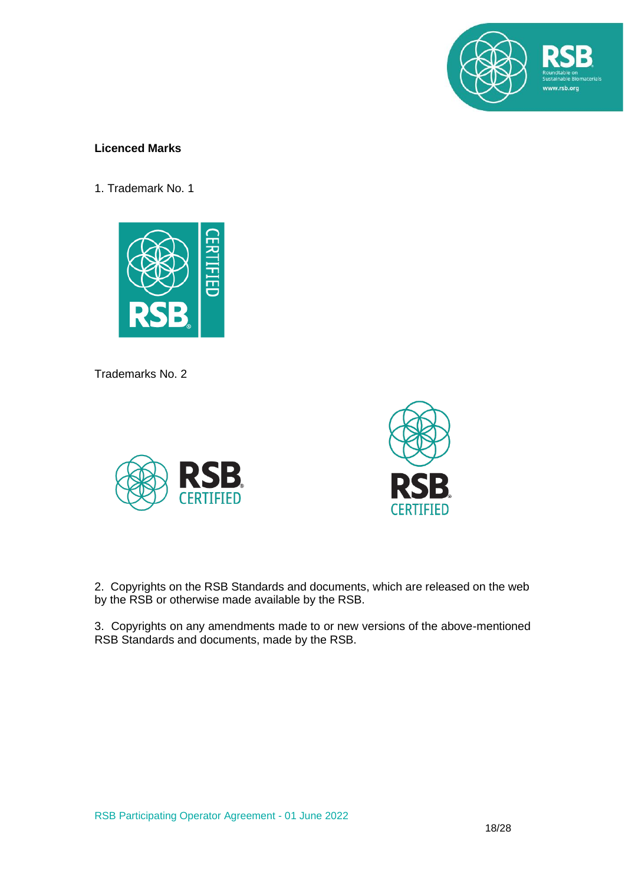

# **Licenced Marks**

1. Trademark No. 1



Trademarks No. 2





2. Copyrights on the RSB Standards and documents, which are released on the web by the RSB or otherwise made available by the RSB.

3. Copyrights on any amendments made to or new versions of the above-mentioned RSB Standards and documents, made by the RSB.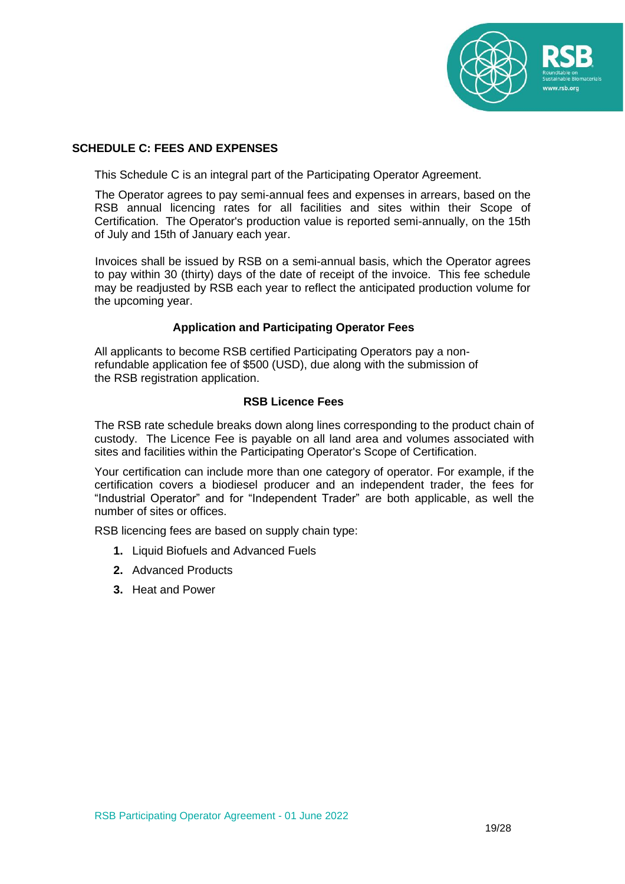

# **SCHEDULE C: FEES AND EXPENSES**

This Schedule C is an integral part of the Participating Operator Agreement.

The Operator agrees to pay semi-annual fees and expenses in arrears, based on the RSB annual licencing rates for all facilities and sites within their Scope of Certification. The Operator's production value is reported semi-annually, on the 15th of July and 15th of January each year.

Invoices shall be issued by RSB on a semi-annual basis, which the Operator agrees to pay within 30 (thirty) days of the date of receipt of the invoice. This fee schedule may be readjusted by RSB each year to reflect the anticipated production volume for the upcoming year.

# **Application and Participating Operator Fees**

All applicants to become RSB certified Participating Operators pay a nonrefundable application fee of \$500 (USD), due along with the submission of the RSB registration application.

#### **RSB Licence Fees**

The RSB rate schedule breaks down along lines corresponding to the product chain of custody. The Licence Fee is payable on all land area and volumes associated with sites and facilities within the Participating Operator's Scope of Certification.

Your certification can include more than one category of operator. For example, if the certification covers a biodiesel producer and an independent trader, the fees for "Industrial Operator" and for "Independent Trader" are both applicable, as well the number of sites or offices.

RSB licencing fees are based on supply chain type:

- **1.** Liquid Biofuels and Advanced Fuels
- **2.** Advanced Products
- **3.** Heat and Power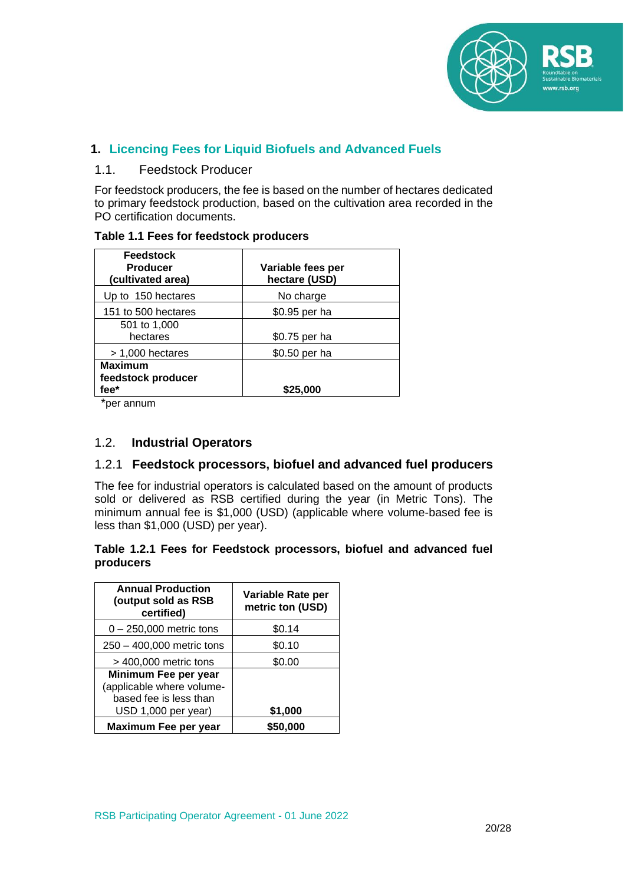

# **1. Licencing Fees for Liquid Biofuels and Advanced Fuels**

# 1.1. Feedstock Producer

For feedstock producers, the fee is based on the number of hectares dedicated to primary feedstock production, based on the cultivation area recorded in the PO certification documents.

| Table 1.1 Fees for feedstock producers |                  |
|----------------------------------------|------------------|
| <b>Feedstock</b>                       |                  |
| <b>Producer</b>                        | Variable fees pe |

| <b>Feedstock</b><br><b>Producer</b><br>(cultivated area) | Variable fees per<br>hectare (USD) |
|----------------------------------------------------------|------------------------------------|
| Up to 150 hectares                                       | No charge                          |
| 151 to 500 hectares                                      | \$0.95 per ha                      |
| 501 to 1,000<br>hectares                                 | \$0.75 per ha                      |
| $> 1,000$ hectares                                       | \$0.50 per ha                      |
| <b>Maximum</b><br>feedstock producer<br>fee*             | \$25.000                           |

\*per annum

# 1.2. **Industrial Operators**

# 1.2.1 **Feedstock processors, biofuel and advanced fuel producers**

The fee for industrial operators is calculated based on the amount of products sold or delivered as RSB certified during the year (in Metric Tons). The minimum annual fee is \$1,000 (USD) (applicable where volume-based fee is less than \$1,000 (USD) per year).

# **Table 1.2.1 Fees for Feedstock processors, biofuel and advanced fuel producers**

| <b>Annual Production</b><br>(output sold as RSB<br>certified)                                      | Variable Rate per<br>metric ton (USD) |
|----------------------------------------------------------------------------------------------------|---------------------------------------|
| $0 - 250,000$ metric tons                                                                          | \$0.14                                |
| 250 - 400,000 metric tons                                                                          | \$0.10                                |
| $>$ 400,000 metric tons                                                                            | \$0.00                                |
| Minimum Fee per year<br>(applicable where volume-<br>based fee is less than<br>USD 1,000 per year) | \$1,000                               |
| Maximum Fee per year                                                                               | \$50.000                              |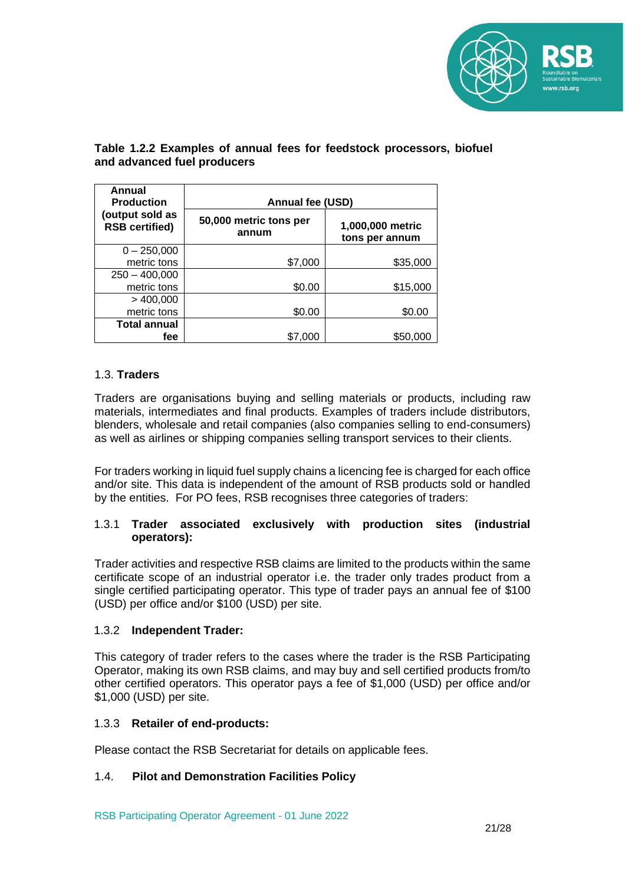

# **Table 1.2.2 Examples of annual fees for feedstock processors, biofuel and advanced fuel producers**

| Annual<br><b>Production</b>              | <b>Annual fee (USD)</b>         |                                    |
|------------------------------------------|---------------------------------|------------------------------------|
| (output sold as<br><b>RSB certified)</b> | 50,000 metric tons per<br>annum | 1,000,000 metric<br>tons per annum |
| $0 - 250,000$                            |                                 |                                    |
| metric tons                              | \$7,000                         | \$35,000                           |
| $250 - 400,000$                          |                                 |                                    |
| metric tons                              | \$0.00                          | \$15,000                           |
| $>$ 400,000                              |                                 |                                    |
| metric tons                              | \$0.00                          | \$0.00                             |
| <b>Total annual</b>                      |                                 |                                    |
| fee                                      | \$7.000                         | \$50,000                           |

# 1.3. **Traders**

Traders are organisations buying and selling materials or products, including raw materials, intermediates and final products. Examples of traders include distributors, blenders, wholesale and retail companies (also companies selling to end-consumers) as well as airlines or shipping companies selling transport services to their clients.

For traders working in liquid fuel supply chains a licencing fee is charged for each office and/or site. This data is independent of the amount of RSB products sold or handled by the entities. For PO fees, RSB recognises three categories of traders:

# 1.3.1 **Trader associated exclusively with production sites (industrial operators):**

Trader activities and respective RSB claims are limited to the products within the same certificate scope of an industrial operator i.e. the trader only trades product from a single certified participating operator. This type of trader pays an annual fee of \$100 (USD) per office and/or \$100 (USD) per site.

# 1.3.2 **Independent Trader:**

This category of trader refers to the cases where the trader is the RSB Participating Operator, making its own RSB claims, and may buy and sell certified products from/to other certified operators. This operator pays a fee of \$1,000 (USD) per office and/or \$1,000 (USD) per site.

# 1.3.3 **Retailer of end-products:**

Please contact the RSB Secretariat for details on applicable fees.

# 1.4. **Pilot and Demonstration Facilities Policy**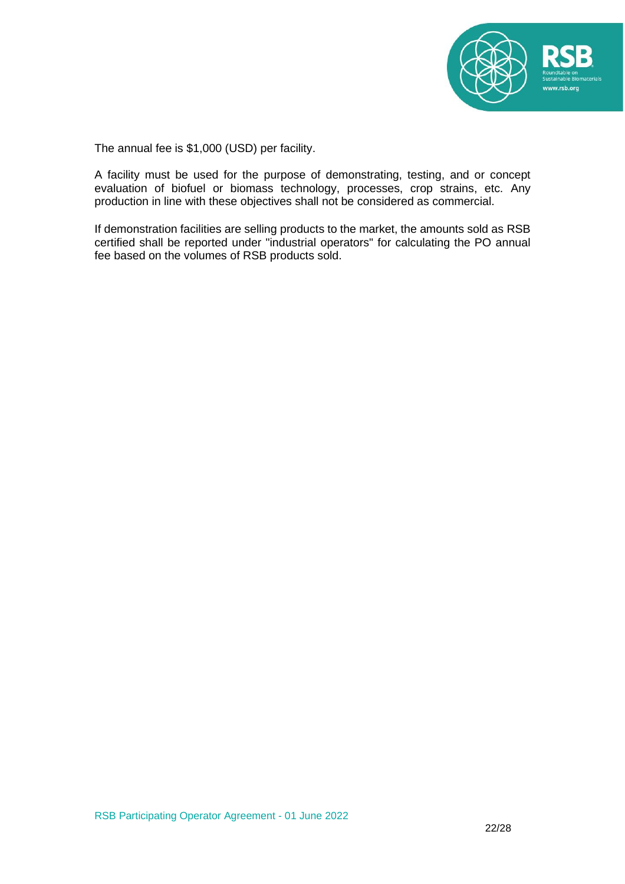

The annual fee is \$1,000 (USD) per facility.

A facility must be used for the purpose of demonstrating, testing, and or concept evaluation of biofuel or biomass technology, processes, crop strains, etc. Any production in line with these objectives shall not be considered as commercial.

If demonstration facilities are selling products to the market, the amounts sold as RSB certified shall be reported under "industrial operators" for calculating the PO annual fee based on the volumes of RSB products sold.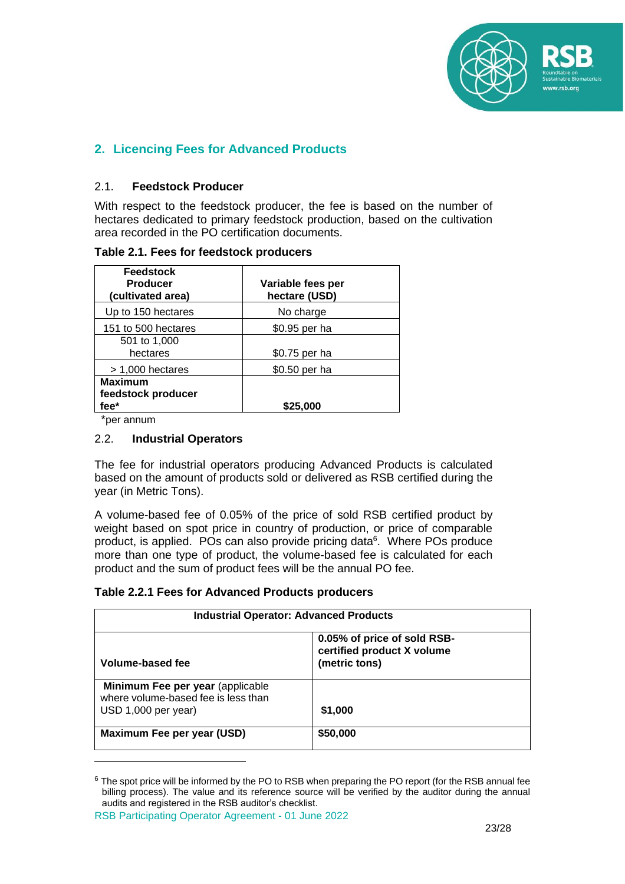

# **2. Licencing Fees for Advanced Products**

# 2.1. **Feedstock Producer**

With respect to the feedstock producer, the fee is based on the number of hectares dedicated to primary feedstock production, based on the cultivation area recorded in the PO certification documents.

**Table 2.1. Fees for feedstock producers**

| <b>Feedstock</b><br><b>Producer</b><br>(cultivated area) | Variable fees per<br>hectare (USD) |
|----------------------------------------------------------|------------------------------------|
| Up to 150 hectares                                       | No charge                          |
| 151 to 500 hectares                                      | \$0.95 per ha                      |
| 501 to 1,000<br>hectares                                 | \$0.75 per ha                      |
| $> 1,000$ hectares                                       | \$0.50 per ha                      |
| <b>Maximum</b><br>feedstock producer<br>fee*             | \$25,000                           |

\*per annum

# 2.2. **Industrial Operators**

The fee for industrial operators producing Advanced Products is calculated based on the amount of products sold or delivered as RSB certified during the year (in Metric Tons).

A volume-based fee of 0.05% of the price of sold RSB certified product by weight based on spot price in country of production, or price of comparable product, is applied. POs can also provide pricing data<sup>6</sup>. Where POs produce more than one type of product, the volume-based fee is calculated for each product and the sum of product fees will be the annual PO fee.

# **Table 2.2.1 Fees for Advanced Products producers**

| <b>Industrial Operator: Advanced Products</b>                                                  |                                                                            |  |
|------------------------------------------------------------------------------------------------|----------------------------------------------------------------------------|--|
| Volume-based fee                                                                               | 0.05% of price of sold RSB-<br>certified product X volume<br>(metric tons) |  |
| Minimum Fee per year (applicable<br>where volume-based fee is less than<br>USD 1,000 per year) | \$1,000                                                                    |  |
| Maximum Fee per year (USD)                                                                     | \$50,000                                                                   |  |

<sup>&</sup>lt;sup>6</sup> The spot price will be informed by the PO to RSB when preparing the PO report (for the RSB annual fee billing process). The value and its reference source will be verified by the auditor during the annual audits and registered in the RSB auditor's checklist.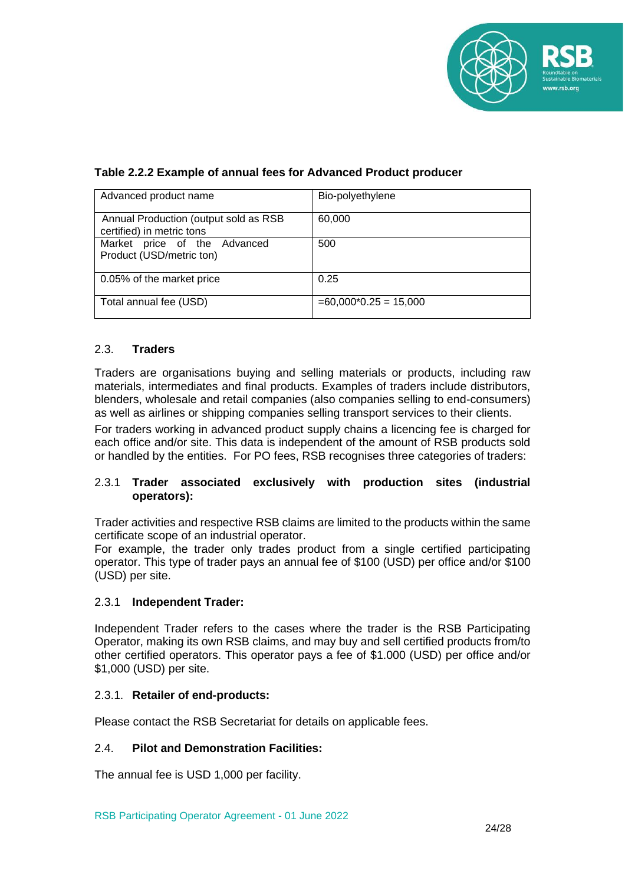

# **Table 2.2.2 Example of annual fees for Advanced Product producer**

| Advanced product name                                              | Bio-polyethylene        |
|--------------------------------------------------------------------|-------------------------|
| Annual Production (output sold as RSB<br>certified) in metric tons | 60,000                  |
| Market price of the Advanced<br>Product (USD/metric ton)           | 500                     |
| 0.05% of the market price                                          | 0.25                    |
| Total annual fee (USD)                                             | $=60,000*0.25 = 15,000$ |

# 2.3. **Traders**

Traders are organisations buying and selling materials or products, including raw materials, intermediates and final products. Examples of traders include distributors, blenders, wholesale and retail companies (also companies selling to end-consumers) as well as airlines or shipping companies selling transport services to their clients.

For traders working in advanced product supply chains a licencing fee is charged for each office and/or site. This data is independent of the amount of RSB products sold or handled by the entities. For PO fees, RSB recognises three categories of traders:

# 2.3.1 **Trader associated exclusively with production sites (industrial operators):**

Trader activities and respective RSB claims are limited to the products within the same certificate scope of an industrial operator.

For example, the trader only trades product from a single certified participating operator. This type of trader pays an annual fee of \$100 (USD) per office and/or \$100 (USD) per site.

# 2.3.1 **Independent Trader:**

Independent Trader refers to the cases where the trader is the RSB Participating Operator, making its own RSB claims, and may buy and sell certified products from/to other certified operators. This operator pays a fee of \$1.000 (USD) per office and/or \$1,000 (USD) per site.

#### 2.3.1. **Retailer of end-products:**

Please contact the RSB Secretariat for details on applicable fees.

#### 2.4. **Pilot and Demonstration Facilities:**

The annual fee is USD 1,000 per facility.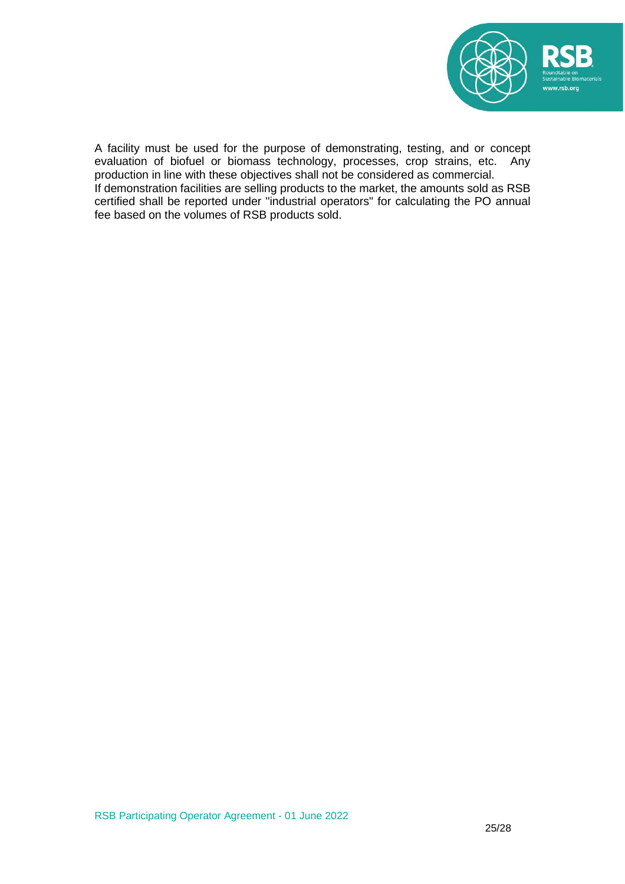

A facility must be used for the purpose of demonstrating, testing, and or concept evaluation of biofuel or biomass technology, processes, crop strains, etc. Any production in line with these objectives shall not be considered as commercial. If demonstration facilities are selling products to the market, the amounts sold as RSB certified shall be reported under "industrial operators" for calculating the PO annual fee based on the volumes of RSB products sold.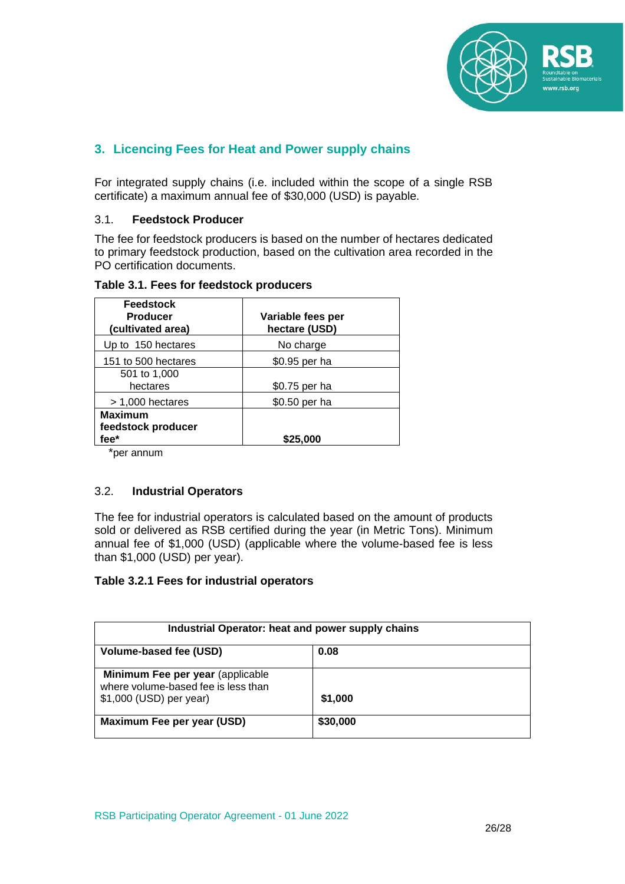

# **3. Licencing Fees for Heat and Power supply chains**

For integrated supply chains (i.e. included within the scope of a single RSB certificate) a maximum annual fee of \$30,000 (USD) is payable.

# 3.1. **Feedstock Producer**

The fee for feedstock producers is based on the number of hectares dedicated to primary feedstock production, based on the cultivation area recorded in the PO certification documents.

| <b>Feedstock</b><br><b>Producer</b><br>(cultivated area) | Variable fees per<br>hectare (USD) |  |
|----------------------------------------------------------|------------------------------------|--|
| Up to 150 hectares                                       | No charge                          |  |
| 151 to 500 hectares                                      | \$0.95 per ha                      |  |
| 501 to 1,000<br>hectares                                 | \$0.75 per ha                      |  |
| > 1,000 hectares                                         | \$0.50 per ha                      |  |
| <b>Maximum</b><br>feedstock producer<br>fee*             | \$25,000                           |  |
| $\overline{\phantom{a}}$                                 |                                    |  |

#### **Table 3.1. Fees for feedstock producers**

\*per annum

# 3.2. **Industrial Operators**

The fee for industrial operators is calculated based on the amount of products sold or delivered as RSB certified during the year (in Metric Tons). Minimum annual fee of \$1,000 (USD) (applicable where the volume-based fee is less than \$1,000 (USD) per year).

# **Table 3.2.1 Fees for industrial operators**

| Industrial Operator: heat and power supply chains                       |          |  |
|-------------------------------------------------------------------------|----------|--|
| Volume-based fee (USD)                                                  | 0.08     |  |
| Minimum Fee per year (applicable<br>where volume-based fee is less than |          |  |
| \$1,000 (USD) per year)                                                 | \$1,000  |  |
| Maximum Fee per year (USD)                                              | \$30,000 |  |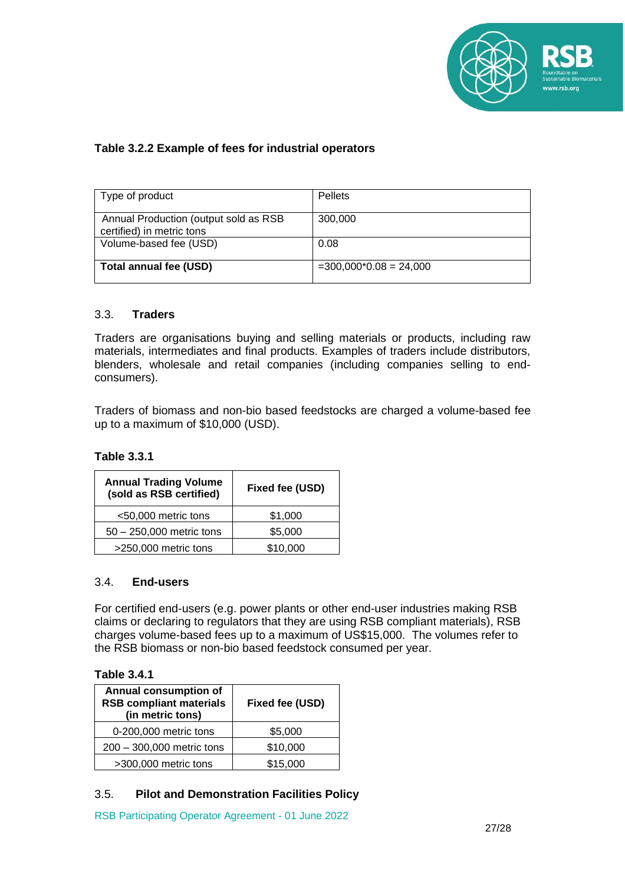

# **Table 3.2.2 Example of fees for industrial operators**

| Type of product                                                    | <b>Pellets</b>           |
|--------------------------------------------------------------------|--------------------------|
| Annual Production (output sold as RSB<br>certified) in metric tons | 300,000                  |
| Volume-based fee (USD)                                             | 0.08                     |
| Total annual fee (USD)                                             | $=300,000*0.08 = 24,000$ |

#### 3.3. **Traders**

Traders are organisations buying and selling materials or products, including raw materials, intermediates and final products. Examples of traders include distributors, blenders, wholesale and retail companies (including companies selling to endconsumers).

Traders of biomass and non-bio based feedstocks are charged a volume-based fee up to a maximum of \$10,000 (USD).

#### **Table 3.3.1**

| <b>Annual Trading Volume</b><br>(sold as RSB certified) | Fixed fee (USD) |
|---------------------------------------------------------|-----------------|
| <50,000 metric tons                                     | \$1,000         |
| $50 - 250,000$ metric tons                              | \$5,000         |
| >250,000 metric tons                                    | \$10,000        |

# 3.4. **End-users**

For certified end-users (e.g. power plants or other end-user industries making RSB claims or declaring to regulators that they are using RSB compliant materials), RSB charges volume-based fees up to a maximum of US\$15,000. The volumes refer to the RSB biomass or non-bio based feedstock consumed per year.

#### **Table 3.4.1**

| Annual consumption of<br><b>RSB compliant materials</b><br>(in metric tons) | Fixed fee (USD) |
|-----------------------------------------------------------------------------|-----------------|
| 0-200,000 metric tons                                                       | \$5,000         |
| 200 - 300,000 metric tons                                                   | \$10,000        |
| >300,000 metric tons                                                        | \$15,000        |

# 3.5. **Pilot and Demonstration Facilities Policy**